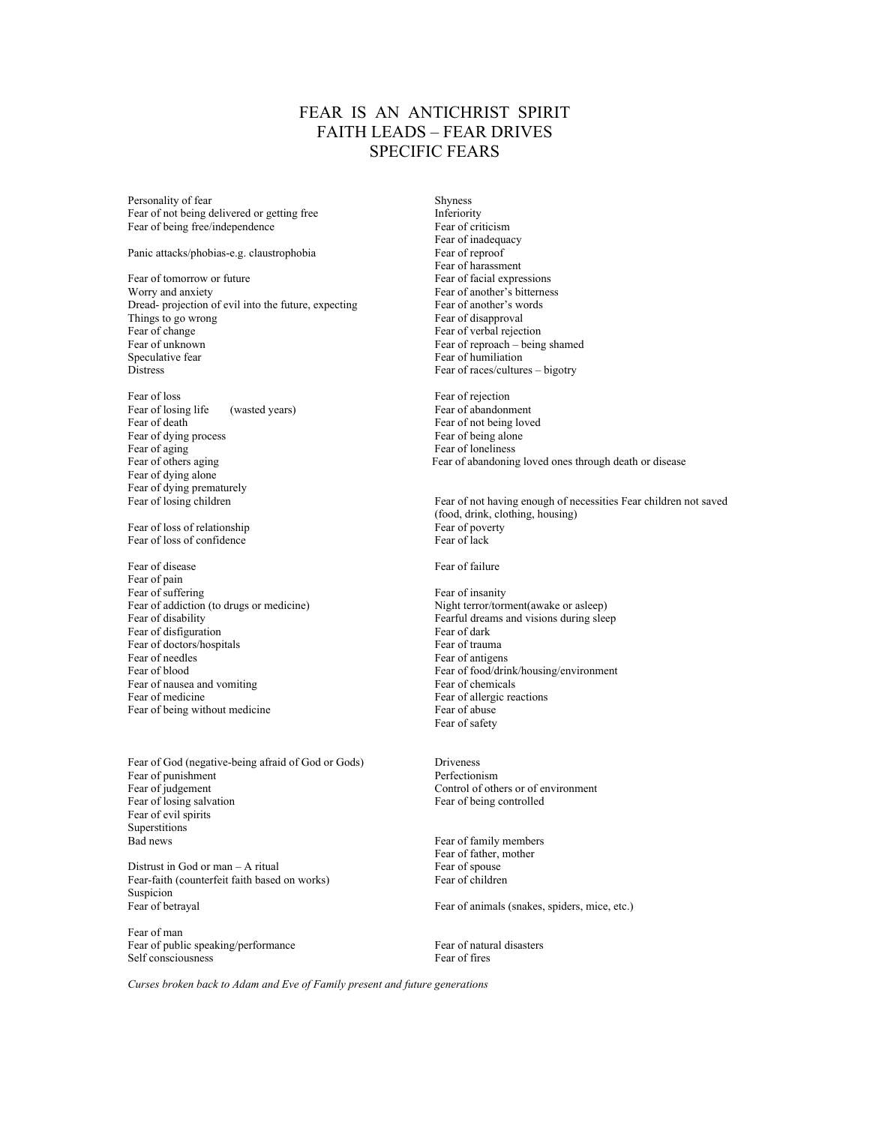## FEAR IS AN ANTICHRIST SPIRIT FAITH LEADS – FEAR DRIVES SPECIFIC FEARS

Personality of fear Shyness Fear of not being delivered or getting free **Inferiority**<br>Fear of being free/independence **Fear of criticism** Fear of being free/independence

Panic attacks/phobias-e.g. claustrophobia Fear of reproof

Fear of tomorrow or future Worry and anxiety<br>Dread- projection of evil into the future, expecting<br>Fear of another's words<br>Fear of another's words Dread- projection of evil into the future, expecting Fear of another's words of another's words of another's words of another's words are the sear of disapproval Things to go wrong<br>Fear of change Fear of unknown Fear of reproach – being shamed Speculative fear Speculation Speculation Fear of humiliation Distress Fear of races/cultures – bigotry

Fear of loss Fear of rejection Fear of losing life (wasted years) Fear of abandonment<br>Fear of death Fear of hot being love Fear of dying process Fear of aging Fear of others aging Fear of loneliness<br>Fear of others aging Fear of abandoning Fear of dying alone Fear of dying prematurely

Fear of loss of relationship<br>Fear of loss of confidence<br>Fear of lack<br>Fear of lack Fear of loss of confidence

Fear of disease Fear of failure Fear of pain Fear of suffering Fear of insanity Fear of addiction (to drugs or medicine)<br>Fear of disability Fearful dreams and visions during sleep<br>Fearful dreams and visions during sleep Fear of disfiguration Fear of doctors/hospitals Fear of trauma<br>Fear of needles<br>Fear of antiger Fear of needles Fear of antigens<br>Fear of blood Fear of food/drin Fear of nausea and vomiting Fear of medicine Fear of allergic reactions<br>Fear of being without medicine Fear of abuse<br>Fear of abuse Fear of being without medicine

Fear of God (negative-being afraid of God or Gods) Driveness Fear of punishment<br>
Fear of judgement<br>
Fear of pulgement<br>
Control of oth Fear of losing salvation Fear of being controlled Fear of evil spirits Superstitions Bad news Fear of family members

Distrust in God or man  $-$  A ritual Fear-faith (counterfeit faith based on works) Fear of children Suspicion Fear of betrayal Fear of animals (snakes, spiders, mice, etc.)

Fear of man Fear of public speaking/performance<br>Self consciousness<br>Fear of fires Self consciousness

 Fear of inadequacy Fear of harassment<br>Fear of facial expressions Fear of verbal rejection

Fear of not being loved<br>Fear of being alone Fear of abandoning loved ones through death or disease

Fear of losing children **Fear of not having enough of necessities Fear children** not saved (food, drink, clothing, housing)

Fearful dreams and visions during sleep<br>Fear of dark Fear of food/drink/housing/environment<br>Fear of chemicals Fear of safety

Control of others or of environment

Fear of father, mother<br>Fear of spouse

*Curses broken back to Adam and Eve of Family present and future generations*